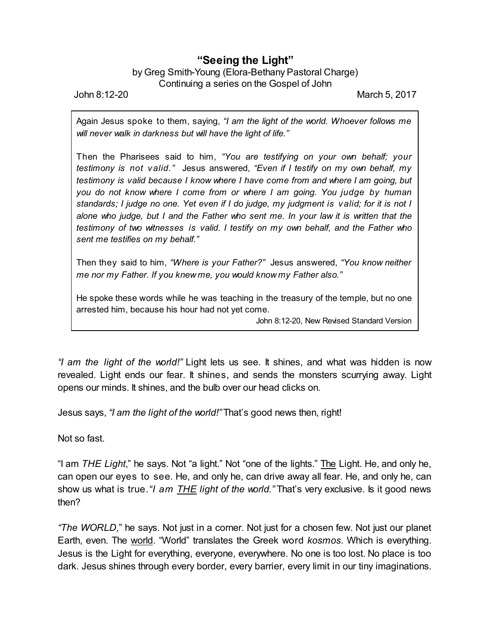## **"Seeing the Light"**

## by Greg Smith-Young (Elora-Bethany Pastoral Charge) Continuing a series on the Gospel of John

John 8:12-20 March 5, 2017

Again Jesus spoke to them, saying, *"I am the light of the world. Whoever follows me will never walk in darkness but will have the light of life."*

Then the Pharisees said to him, *"You are testifying on your own behalf; your testimony is not valid."* Jesus answered, *"Even if I testify on my own behalf, my testimony is valid because I know where I have come from and where I am going, but you do not know where I come from or where I am going. You judge by human* standards; I judge no one. Yet even if I do judge, my judgment is valid; for it is not I *alone who judge, but I and the Father who sent me. In your law it is written that the testimony of two witnesses is valid. I testify on my own behalf, and the Father who sent me testifies on my behalf."*

Then they said to him, *"Where is your Father?"* Jesus answered, *"You know neither me nor my Father. If you knew me, you would know my Father also."*

He spoke these words while he was teaching in the treasury of the temple, but no one arrested him, because his hour had not yet come.

John 8:12-20, New Revised Standard Version

*"I am the light of the world!"* Light lets us see. It shines, and what was hidden is now revealed. Light ends our fear. It shines, and sends the monsters scurrying away. Light opens our minds. It shines, and the bulb over our head clicks on.

Jesus says, *"I am the light of the world!"* That's good news then, right!

Not so fast.

"I am *THE Light*," he says. Not "a light." Not "one of the lights." The Light. He, and only he, can open our eyes to see. He, and only he, can drive away all fear. He, and only he, can show us what is true.*"I am THE light of the world."* That's very exclusive. Is it good news then?

*"The WORLD,*" he says. Not just in a corner. Not just for a chosen few. Not just our planet Earth, even. The world. "World" translates the Greek word *kosmos*. Which is everything. Jesus is the Light for everything, everyone, everywhere. No one is too lost. No place is too dark. Jesus shines through every border, every barrier, every limit in our tiny imaginations.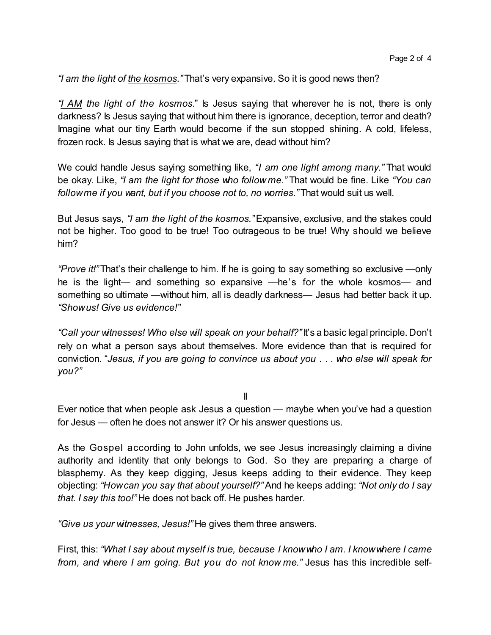*"I am the light of the kosmos."* That's very expansive. So it is good news then?

*"I AM the light of the kosmos*." Is Jesus saying that wherever he is not, there is only darkness? Is Jesus saying that without him there is ignorance, deception, terror and death? Imagine what our tiny Earth would become if the sun stopped shining. A cold, lifeless, frozen rock. Is Jesus saying that is what we are, dead without him?

We could handle Jesus saying something like, *"I am one light among many."* That would be okay. Like, *"I am the light for those who follow me."* That would be fine. Like *"You can followme if you want, but if you choose not to, no worries."* That would suit us well.

But Jesus says, *"I am the light of the kosmos."*Expansive, exclusive, and the stakes could not be higher. Too good to be true! Too outrageous to be true! Why should we believe him?

*"Prove it!"* That's their challenge to him. If he is going to say something so exclusive —only he is the light— and something so expansive —he's for the whole kosmos— and something so ultimate —without him, all is deadly darkness— Jesus had better back it up. *"Showus! Give us evidence!"*

*"Call your witnesses! Who else will speak on your behalf?"* It's a basic legal principle. Don't rely on what a person says about themselves. More evidence than that is required for conviction. "*Jesus, if you are going to convince us about you . . . who else will speak for you?"*

II

Ever notice that when people ask Jesus a question — maybe when you've had a question for Jesus — often he does not answer it? Or his answer questions us.

As the Gospel according to John unfolds, we see Jesus increasingly claiming a divine authority and identity that only belongs to God. So they are preparing a charge of blasphemy. As they keep digging, Jesus keeps adding to their evidence. They keep objecting: *"Howcan you say that about yourself?"*And he keeps adding: *"Not only do I say that. I say this too!"* He does not back off. He pushes harder.

*"Give us your witnesses, Jesus!"* He gives them three answers.

First, this: *"What I say about myself is true, because I knowwho I am. I knowwhere I came from, and where I am going. But you do not know me."* Jesus has this incredible self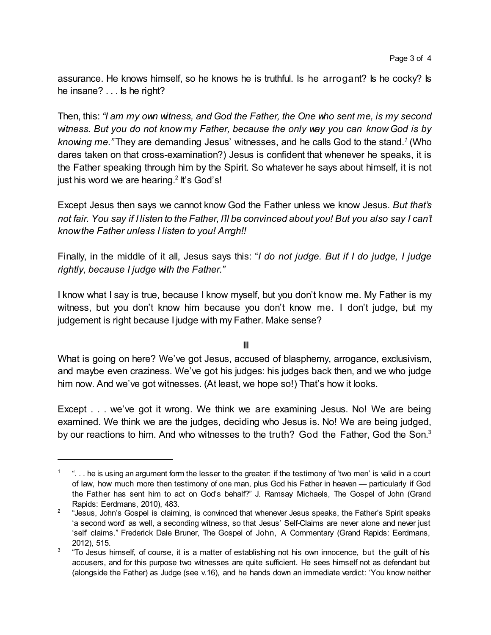assurance. He knows himself, so he knows he is truthful. Is he arrogant? Is he cocky? Is he insane? . . . Is he right?

Then, this: *"I am my own witness, and God the Father, the One who sent me, is my second witness. But you do not know my Father, because the only way you can know God is by knowing me."* They are demanding Jesus' witnesses, and he calls God to the stand.*<sup>1</sup>* (Who dares taken on that cross-examination?) Jesus is confident that whenever he speaks, it is the Father speaking through him by the Spirit. So whatever he says about himself, it is not just his word we are hearing.<sup>2</sup> It's God's!

Except Jesus then says we cannot know God the Father unless we know Jesus. *But that's not fair. You say if I listen to the Father, I'll be convinced about you! But you also say I can't knowthe Father unless I listen to you! Arrgh!!*

Finally, in the middle of it all, Jesus says this: "*I do not judge. But if I do judge, I judge rightly, because I judge with the Father."*

I know what I say is true, because I know myself, but you don't know me. My Father is my witness, but you don't know him because you don't know me. I don't judge, but my judgement is right because I judge with my Father. Make sense?

III

What is going on here? We've got Jesus, accused of blasphemy, arrogance, exclusivism, and maybe even craziness. We've got his judges: his judges back then, and we who judge him now. And we've got witnesses. (At least, we hope so!) That's how it looks.

Except . . . we've got it wrong. We think we are examining Jesus. No! We are being examined. We think we are the judges, deciding who Jesus is. No! We are being judged, by our reactions to him. And who witnesses to the truth? God the Father, God the Son.<sup>3</sup>

 $1$   $\;\;$  ". . . he is using an argument form the lesser to the greater: if the testimony of 'two men' is valid in a court of law, how much more then testimony of one man, plus God his Father in heaven — particularly if God the Father has sent him to act on God's behalf?" J. Ramsay Michaels, The Gospel of John (Grand Rapids: Eerdmans, 2010), 483.

 $^2$  "Jesus, John's Gospel is claiming, is convinced that whenever Jesus speaks, the Father's Spirit speaks 'a second word' as well, a seconding witness, so that Jesus' Self-Claims are never alone and never just 'self claims." Frederick Dale Bruner, The Gospel of John, A Commentary (Grand Rapids: Eerdmans, 2012), 515.

<sup>3</sup> "To Jesus himself, of course, it is a matter of establishing not his own innocence, but the guilt of his accusers, and for this purpose two witnesses are quite sufficient. He sees himself not as defendant but (alongside the Father) as Judge (see v.16), and he hands down an immediate verdict: 'You know neither